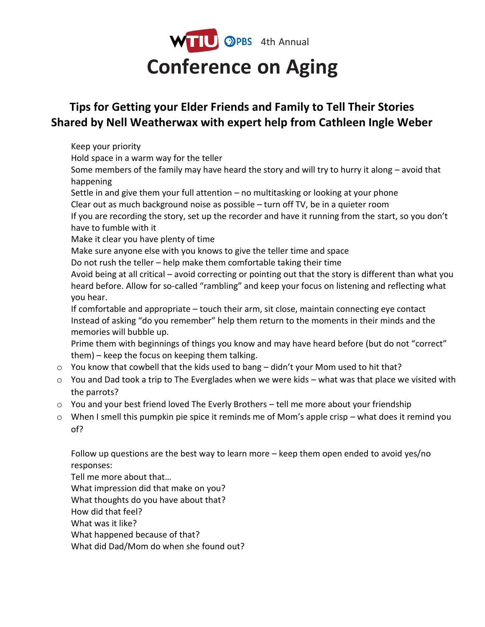

## **Tips for Getting your Elder Friends and Family to Tell Their Stories Shared by Nell Weatherwax with expert help from Cathleen Ingle Weber**

Keep your priority

Hold space in a warm way for the teller

Some members of the family may have heard the story and will try to hurry it along – avoid that happening

Settle in and give them your full attention – no multitasking or looking at your phone Clear out as much background noise as possible – turn off TV, be in a quieter room

If you are recording the story, set up the recorder and have it running from the start, so you don't have to fumble with it

Make it clear you have plenty of time

Make sure anyone else with you knows to give the teller time and space

Do not rush the teller – help make them comfortable taking their time

Avoid being at all critical – avoid correcting or pointing out that the story is different than what you heard before. Allow for so-called "rambling" and keep your focus on listening and reflecting what you hear.

If comfortable and appropriate – touch their arm, sit close, maintain connecting eye contact Instead of asking "do you remember" help them return to the moments in their minds and the memories will bubble up.

Prime them with beginnings of things you know and may have heard before (but do not "correct" them) – keep the focus on keeping them talking.

- o You know that cowbell that the kids used to bang didn't your Mom used to hit that?
- $\circ$  You and Dad took a trip to The Everglades when we were kids what was that place we visited with the parrots?
- o You and your best friend loved The Everly Brothers tell me more about your friendship
- o When I smell this pumpkin pie spice it reminds me of Mom's apple crisp what does it remind you of?

Follow up questions are the best way to learn more – keep them open ended to avoid yes/no responses:

Tell me more about that… What impression did that make on you? What thoughts do you have about that? How did that feel? What was it like? What happened because of that? What did Dad/Mom do when she found out?